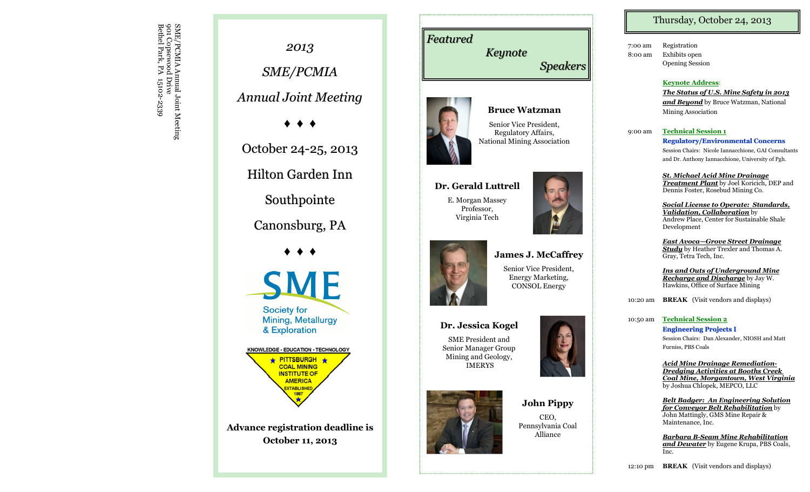Bethel Park, PA 15102 901 Copsewood Drive SME/PCMIA Annual Joint Meeting<br>901 Copsewood Drive<br>Bethel Park, PA 15102-2339



# *Featured Keynote Speakers*

**Bruce Watzman** Senior Vice President, Regulatory Affairs,



**Dr. Gerald Luttrell** E. Morgan Massey Professor, Virginia Tech



### **Dr. Jessica Kogel**

SME President and Senior Manager Group Mining and Geology, IMERYS



**John Pippy** CEO, Pennsylvania Coal Alliance

## Thursday, October 24, 2013

7:00 am Registration 8:00 am Exhibits open Opening Session

#### **Keynote Address** :

*The Status of U.S. Mine Safety in 2013 and Beyond* by Bruce Watzman, National Mining Association

9:00 am **Technical Session 1**

**Regulatory/Environmental Concerns** Session Chairs: Nicole Iannacchione, GAI Consultants and Dr. Anthony Iannacchione, University of Pgh.

*St. Michael Acid Mine Drainage Treatment Plant* by Joel Koricich, DEP and Dennis Foster, Rosebud Mining Co.

*Social License to Operate: Standards, Validation, Collaboration* by Andrew Place, Center for Sustainable Shale Development

*East Avoca —Grove Street Drainage Study* by Heather Trexler and Thomas A. Gray, Tetra Tech, Inc.

*Ins and Outs of Underground Mine Recharge and Discharge* by Jay W. Hawkins, Office of Surface Mining

10:20 am **BREAK** (Visit vendors and displays)

10:50 am **Technical Session 2 Engineering Projects I** Session Chairs: Dan Alexander, NIOSH and Matt

Furniss, PBS Coals

*Acid Mine Drainage Remediation - Dredging Activities at Booths Creek Coal Mine, Morgantown, West Virginia* by Joshua Chlopek, MEPCO, LLC

*Belt Badger: An Engineering Solution for Conveyor Belt Rehabilitation* by John Mattingly, GMS Mine Repair & Maintenance, Inc.

*Barbara B -Seam Mine Rehabilitation and Dewater* by Eugene Krupa, PBS Coals, Inc.

12:10 pm **BREAK** (Visit vendors and displays)